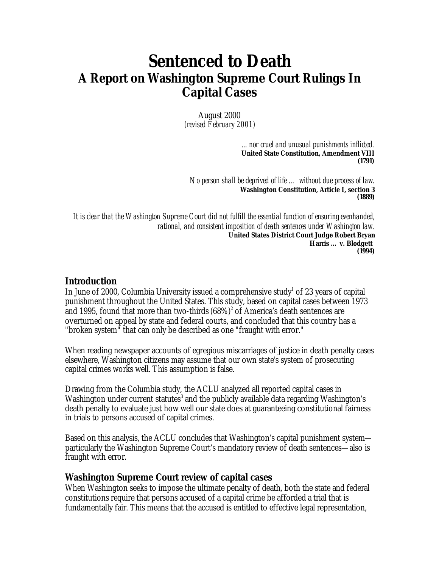# **Sentenced to Death A Report on Washington Supreme Court Rulings In Capital Cases**

August 2000 *(revised February 2001)*

> *... nor cruel and unusual punishments inflicted.* **United State Constitution, Amendment VIII (1791)**

*No person shall be deprived of life … without due process of law.* **Washington Constitution, Article I, section 3 (1889)**

*It is clear that the Washington Supreme Court did not fulfill the essential function of ensuring evenhanded, rational, and consistent imposition of death sentences under Washington law.* **United States District Court Judge Robert Bryan** *Harris … v. Blodgett* **(1994)**

#### **Introduction**

In June of 2000, Columbia University issued a comprehensive study $^1$  of 23 years of capital punishment throughout the United States. This study, based on capital cases between 1973 and 1995, found that more than two-thirds  $(68\%)^2$  of America's death sentences are overturned on appeal by state and federal courts, and concluded that this country has a "broken system" that can only be described as one "fraught with error."

When reading newspaper accounts of egregious miscarriages of justice in death penalty cases elsewhere, Washington citizens may assume that our own state's system of prosecuting capital crimes works well. This assumption is false.

Drawing from the Columbia study, the ACLU analyzed all reported capital cases in Washington under current statutes<sup>3</sup> and the publicly available data regarding Washington's death penalty to evaluate just how well our state does at guaranteeing constitutional fairness in trials to persons accused of capital crimes.

Based on this analysis, the ACLU concludes that Washington's capital punishment system particularly the Washington Supreme Court's mandatory review of death sentences—also is fraught with error.

#### **Washington Supreme Court review of capital cases**

When Washington seeks to impose the ultimate penalty of death, both the state and federal constitutions require that persons accused of a capital crime be afforded a trial that is fundamentally fair. This means that the accused is entitled to effective legal representation,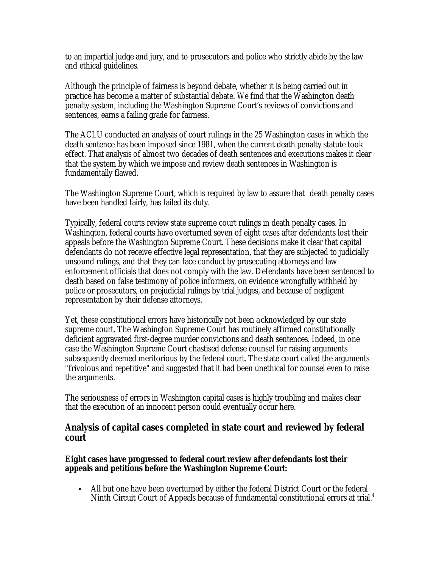to an impartial judge and jury, and to prosecutors and police who strictly abide by the law and ethical guidelines.

Although the principle of fairness is beyond debate, whether it is being carried out in practice has become a matter of substantial debate. We find that the Washington death penalty system, including the Washington Supreme Court's reviews of convictions and sentences, earns a failing grade for fairness.

The ACLU conducted an analysis of court rulings in the 25 Washington cases in which the death sentence has been imposed since 1981, when the current death penalty statute took effect. That analysis of almost two decades of death sentences and executions makes it clear that the system by which we impose and review death sentences in Washington is fundamentally flawed.

The Washington Supreme Court, which is required by law to assure that death penalty cases have been handled fairly, has failed its duty.

Typically, federal courts review state supreme court rulings in death penalty cases. In Washington, federal courts have overturned seven of eight cases after defendants lost their appeals before the Washington Supreme Court. These decisions make it clear that capital defendants do not receive effective legal representation, that they are subjected to judicially unsound rulings, and that they can face conduct by prosecuting attorneys and law enforcement officials that does not comply with the law. Defendants have been sentenced to death based on false testimony of police informers, on evidence wrongfully withheld by police or prosecutors, on prejudicial rulings by trial judges, and because of negligent representation by their defense attorneys.

Yet, these constitutional errors have historically not been a cknowledged by our state supreme court. The Washington Supreme Court has routinely affirmed constitutionally deficient aggravated first-degree murder convictions and death sentences. Indeed, in one case the Washington Supreme Court chastised defense counsel for raising arguments subsequently deemed meritorious by the federal court. The state court called the arguments "frivolous and repetitive" and suggested that it had been unethical for counsel even to raise the arguments.

The seriousness of errors in Washington capital cases is highly troubling and makes clear that the execution of an innocent person could eventually occur here.

#### **Analysis of capital cases completed in state court and reviewed by federal court**

**Eight cases have progressed to federal court review after defendants lost their appeals and petitions before the Washington Supreme Court:**

• All but one have been overturned by either the federal District Court or the federal Ninth Circuit Court of Appeals because of fundamental constitutional errors at trial.<sup>4</sup>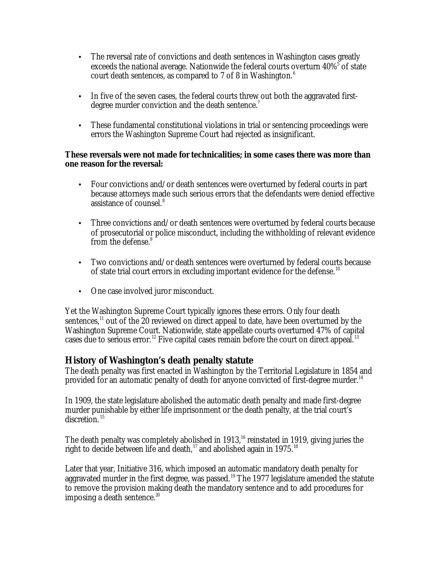- The reversal rate of convictions and death sentences in Washington cases greatly exceeds the national average. Nationwide the federal courts overturn  $40\%^5$  of state court death sentences, as compared to 7 of 8 in Washington. $6$
- In five of the seven cases, the federal courts threw out both the aggravated firstdegree murder conviction and the death sentence.<sup>7</sup>
- These fundamental constitutional violations in trial or sentencing proceedings were errors the Washington Supreme Court had rejected as insignificant.

#### **These reversals were not made for technicalities; in some cases there was more than one reason for the reversal:**

- Four convictions and/or death sentences were overturned by federal courts in part because attorneys made such serious errors that the defendants were denied effective assistance of counsel.<sup>8</sup>
- Three convictions and/or death sentences were overturned by federal courts because of prosecutorial or police misconduct, including the withholding of relevant evidence from the defense.<sup>9</sup>
- Two convictions and/or death sentences were overturned by federal courts because of state trial court errors in excluding important evidence for the defense.<sup>10</sup>
- One case involved juror misconduct.

Yet the Washington Supreme Court typically ignores these errors. Only four death sentences,<sup>11</sup> out of the 20 reviewed on direct appeal to date, have been overturned by the Washington Supreme Court. Nationwide, state appellate courts overturned 47% of capital cases due to serious error.<sup>12</sup> Five capital cases remain before the court on direct appeal.<sup>13</sup>

# **History of Washington's death penalty statute**

The death penalty was first enacted in Washington by the Territorial Legislature in 1854 and provided for an automatic penalty of death for anyone convicted of first-degree murder.<sup>14</sup>

In 1909, the state legislature abolished the automatic death penalty and made first-degree murder punishable by either life imprisonment or the death penalty, at the trial court's discretion.<sup>15</sup>

The death penalty was completely abolished in 1913, $^{16}$  reinstated in 1919, giving juries the right to decide between life and death,<sup>17</sup> and abolished again in 1975.<sup>18</sup>

Later that year, Initiative 316, which imposed an automatic mandatory death penalty for aggravated murder in the first degree, was passed.<sup>19</sup> The 1977 legislature amended the statute to remove the provision making death the mandatory sentence and to add procedures for imposing a death sentence.<sup>20</sup>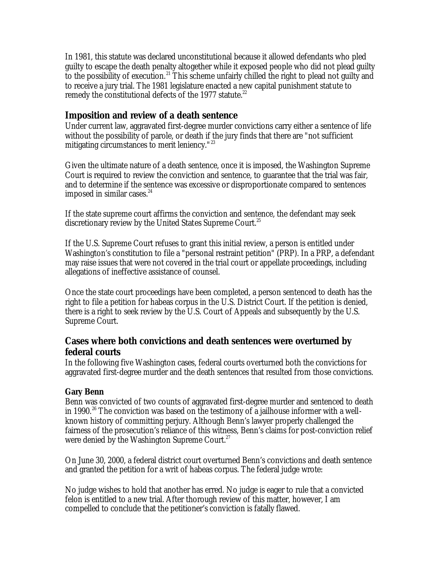In 1981, this statute was declared unconstitutional because it allowed defendants who pled guilty to escape the death penalty altogether while it exposed people who did not plead guilty to the possibility of execution.<sup>21</sup> This scheme unfairly chilled the right to plead not guilty and to receive a jury trial. The 1981 legislature enacted a new capital punishment statute to remedy the constitutional defects of the 1977 statute.<sup>22</sup>

# **Imposition and review of a death sentence**

Under current law, aggravated first-degree murder convictions carry either a sentence of life without the possibility of parole, or death if the jury finds that there are "not sufficient mitigating circumstances to merit leniency."<sup>23</sup>

Given the ultimate nature of a death sentence, once it is imposed, the Washington Supreme Court is required to review the conviction and sentence, to guarantee that the trial was fair, and to determine if the sentence was excessive or disproportionate compared to sentences imposed in similar cases. $^{24}$ 

If the state supreme court affirms the conviction and sentence, the defendant may seek discretionary review by the United States Supreme Court.<sup>25</sup>

If the U.S. Supreme Court refuses to grant this initial review, a person is entitled under Washington's constitution to file a "personal restraint petition" (PRP). In a PRP, a defendant may raise issues that were not covered in the trial court or appellate proceedings, including allegations of ineffective assistance of counsel.

Once the state court proceedings have been completed, a person sentenced to death has the right to file a petition for habeas corpus in the U.S. District Court. If the petition is denied, there is a right to seek review by the U.S. Court of Appeals and subsequently by the U.S. Supreme Court.

# **Cases where both convictions and death sentences were overturned by federal courts**

In the following five Washington cases, federal courts overturned both the convictions for aggravated first-degree murder and the death sentences that resulted from those convictions.

#### **Gary Benn**

Benn was convicted of two counts of aggravated first-degree murder and sentenced to death in 1990.<sup>26</sup> The conviction was based on the testimony of a jailhouse informer with a wellknown history of committing perjury. Although Benn's lawyer properly challenged the fairness of the prosecution's reliance of this witness, Benn's claims for post-conviction relief were denied by the Washington Supreme Court.<sup>27</sup>

On June 30, 2000, a federal district court overturned Benn's convictions and death sentence and granted the petition for a writ of habeas corpus. The federal judge wrote:

No judge wishes to hold that another has erred. No judge is eager to rule that a convicted felon is entitled to a new trial. After thorough review of this matter, however, I am compelled to conclude that the petitioner's conviction is fatally flawed.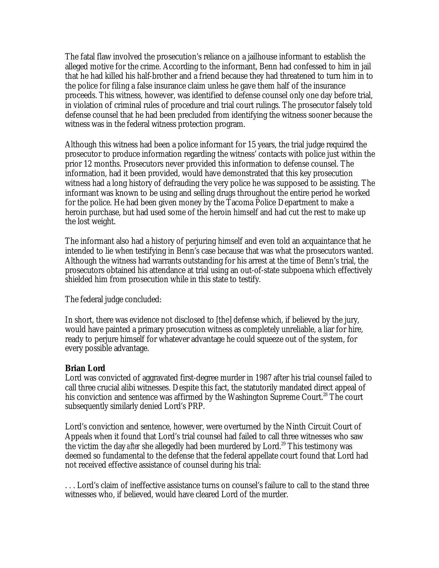The fatal flaw involved the prosecution's reliance on a jailhouse informant to establish the alleged motive for the crime. According to the informant, Benn had confessed to him in jail that he had killed his half-brother and a friend because they had threatened to turn him in to the police for filing a false insurance claim unless he gave them half of the insurance proceeds. This witness, however, was identified to defense counsel only one day before trial, in violation of criminal rules of procedure and trial court rulings. The prosecutor falsely told defense counsel that he had been precluded from identifying the witness sooner because the witness was in the federal witness protection program.

Although this witness had been a police informant for 15 years, the trial judge required the prosecutor to produce information regarding the witness' contacts with police just within the prior 12 months. Prosecutors never provided this information to defense counsel. The information, had it been provided, would have demonstrated that this key prosecution witness had a long history of defrauding the very police he was supposed to be assisting. The informant was known to be using and selling drugs throughout the entire period he worked for the police. He had been given money by the Tacoma Police Department to make a heroin purchase, but had used some of the heroin himself and had cut the rest to make up the lost weight.

The informant also had a history of perjuring himself and even told an acquaintance that he intended to lie when testifying in Benn's case because that was what the prosecutors wanted. Although the witness had warrants outstanding for his arrest at the time of Benn's trial, the prosecutors obtained his attendance at trial using an out-of-state subpoena which effectively shielded him from prosecution while in this state to testify.

The federal judge concluded:

In short, there was evidence not disclosed to [the] defense which, if believed by the jury, would have painted a primary prosecution witness as completely unreliable, a liar for hire, ready to perjure himself for whatever advantage he could squeeze out of the system, for every possible advantage.

#### **Brian Lord**

Lord was convicted of aggravated first-degree murder in 1987 after his trial counsel failed to call three crucial alibi witnesses. Despite this fact, the statutorily mandated direct appeal of his conviction and sentence was affirmed by the Washington Supreme Court.<sup>28</sup> The court subsequently similarly denied Lord's PRP.

Lord's conviction and sentence, however, were overturned by the Ninth Circuit Court of Appeals when it found that Lord's trial counsel had failed to call three witnesses who saw the victim the day *after* she allegedly had been murdered by Lord.<sup>29</sup> This testimony was deemed so fundamental to the defense that the federal appellate court found that Lord had not received effective assistance of counsel during his trial:

. . . Lord's claim of ineffective assistance turns on counsel's failure to call to the stand three witnesses who, if believed, would have cleared Lord of the murder.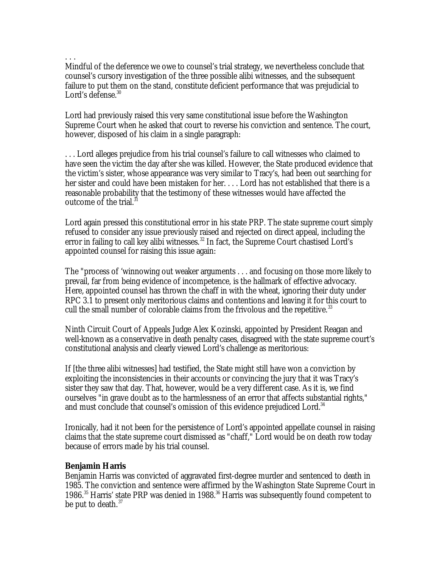. . . Mindful of the deference we owe to counsel's trial strategy, we nevertheless conclude that counsel's cursory investigation of the three possible alibi witnesses, and the subsequent failure to put them on the stand, constitute deficient performance that was prejudicial to Lord's defense.<sup>30</sup>

Lord had previously raised this very same constitutional issue before the Washington Supreme Court when he asked that court to reverse his conviction and sentence. The court, however, disposed of his claim in a single paragraph:

. . . Lord alleges prejudice from his trial counsel's failure to call witnesses who claimed to have seen the victim the day after she was killed. However, the State produced evidence that the victim's sister, whose appearance was very similar to Tracy's, had been out searching for her sister and could have been mistaken for her. . . . Lord has not established that there is a reasonable probability that the testimony of these witnesses would have affected the outcome of the trial. $^{31}$ 

Lord again pressed this constitutional error in his state PRP. The state supreme court simply refused to consider any issue previously raised and rejected on direct appeal, including the error in failing to call key alibi witnesses.<sup>32</sup> In fact, the Supreme Court chastised Lord's appointed counsel for raising this issue again:

The "process of 'winnowing out weaker arguments . . . and focusing on those more likely to prevail, far from being evidence of incompetence, is the hallmark of effective advocacy. Here, appointed counsel has thrown the chaff in with the wheat, ignoring their duty under RPC 3.1 to present only meritorious claims and contentions and leaving it for this court to cull the small number of colorable claims from the frivolous and the repetitive.<sup>33</sup>

Ninth Circuit Court of Appeals Judge Alex Kozinski, appointed by President Reagan and well-known as a conservative in death penalty cases, disagreed with the state supreme court's constitutional analysis and clearly viewed Lord's challenge as meritorious:

If [the three alibi witnesses] had testified, the State might still have won a conviction by exploiting the inconsistencies in their accounts or convincing the jury that it was Tracy's sister they saw that day. That, however, would be a very different case. As it is, we find ourselves "in grave doubt as to the harmlessness of an error that affects substantial rights," and must conclude that counsel's omission of this evidence prejudiced Lord.<sup>34</sup>

Ironically, had it not been for the persistence of Lord's appointed appellate counsel in raising claims that the state supreme court dismissed as "chaff," Lord would be on death row today because of errors made by his trial counsel.

#### **Benjamin Harris**

Benjamin Harris was convicted of aggravated first-degree murder and sentenced to death in 1985. The conviction and sentence were affirmed by the Washington State Supreme Court in 1986.<sup>35</sup> Harris' state PRP was denied in 1988.<sup>36</sup> Harris was subsequently found competent to be put to death. $37$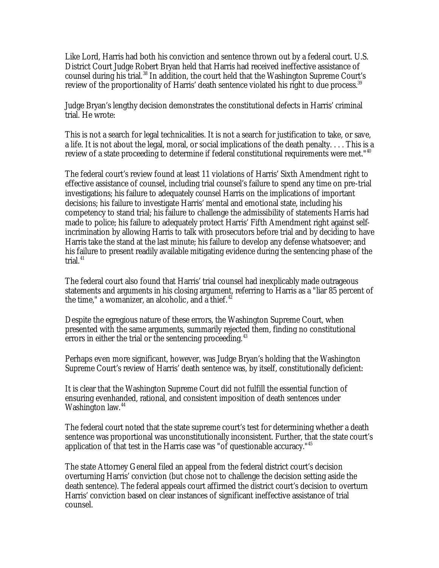Like Lord, Harris had both his conviction and sentence thrown out by a federal court. U.S. District Court Judge Robert Bryan held that Harris had received ineffective assistance of counsel during his trial.<sup>38</sup> In addition, the court held that the Washington Supreme Court's review of the proportionality of Harris' death sentence violated his right to due process.<sup>39</sup>

Judge Bryan's lengthy decision demonstrates the constitutional defects in Harris' criminal trial. He wrote:

This is not a search for legal technicalities. It is not a search for justification to take, or save, a life. It is not about the legal, moral, or social implications of the death penalty. . . . This is a review of a state proceeding to determine if federal constitutional requirements were met."<sup>40</sup>

The federal court's review found at least 11 violations of Harris' Sixth Amendment right to effective assistance of counsel, including trial counsel's failure to spend any time on pre-trial investigations; his failure to adequately counsel Harris on the implications of important decisions; his failure to investigate Harris' mental and emotional state, including his competency to stand trial; his failure to challenge the admissibility of statements Harris had made to police; his failure to adequately protect Harris' Fifth Amendment right against selfincrimination by allowing Harris to talk with prosecutors before trial and by deciding to have Harris take the stand at the last minute; his failure to develop any defense whatsoever; and his failure to present readily available mitigating evidence during the sentencing phase of the trial. $41$ 

The federal court also found that Harris' trial counsel had inexplicably made outrageous statements and arguments in his closing argument, referring to Harris as a "liar 85 percent of the time," a womanizer, an alcoholic, and a thief. $42$ 

Despite the egregious nature of these errors, the Washington Supreme Court, when presented with the same arguments, summarily rejected them, finding no constitutional errors in either the trial or the sentencing proceeding.<sup>43</sup>

Perhaps even more significant, however, was Judge Bryan's holding that the Washington Supreme Court's review of Harris' death sentence was, by itself, constitutionally deficient:

It is clear that the Washington Supreme Court did not fulfill the essential function of ensuring evenhanded, rational, and consistent imposition of death sentences under Washington law.<sup>44</sup>

The federal court noted that the state supreme court's test for determining whether a death sentence was proportional was unconstitutionally inconsistent. Further, that the state court's application of that test in the Harris case was "of questionable accuracy."<sup>45</sup>

The state Attorney General filed an appeal from the federal district court's decision overturning Harris' conviction (but chose not to challenge the decision setting aside the death sentence). The federal appeals court affirmed the district court's decision to overturn Harris' conviction based on clear instances of significant ineffective assistance of trial counsel.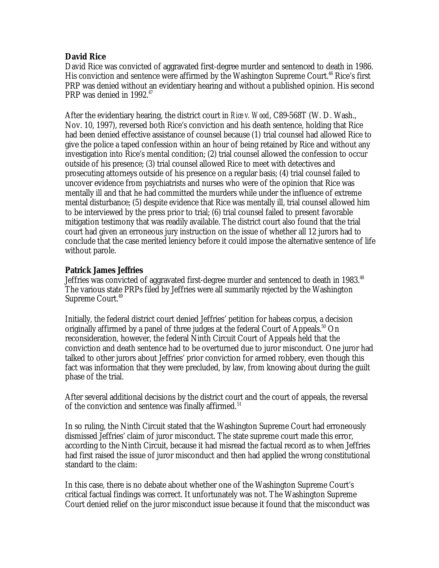#### **David Rice**

David Rice was convicted of aggravated first-degree murder and sentenced to death in 1986. His conviction and sentence were affirmed by the Washington Supreme Court.<sup>46</sup> Rice's first PRP was denied without an evidentiary hearing and without a published opinion. His second PRP was denied in 1992.<sup>47</sup>

After the evidentiary hearing, the district court in *Rice v. Wood*, C89-568T (W. D. Wash., Nov. 10, 1997), reversed both Rice's conviction and his death sentence, holding that Rice had been denied effective assistance of counsel because (1) trial counsel had allowed Rice to give the police a taped confession within an hour of being retained by Rice and without any investigation into Rice's mental condition; (2) trial counsel allowed the confession to occur outside of his presence; (3) trial counsel allowed Rice to meet with detectives and prosecuting attorneys outside of his presence on a regular basis; (4) trial counsel failed to uncover evidence from psychiatrists and nurses who were of the opinion that Rice was mentally ill and that he had committed the murders while under the influence of extreme mental disturbance; (5) despite evidence that Rice was mentally ill, trial counsel allowed him to be interviewed by the press prior to trial; (6) trial counsel failed to present favorable mitigation testimony that was readily available. The district court also found that the trial court had given an erroneous jury instruction on the issue of whether all 12 jurors had to conclude that the case merited leniency before it could impose the alternative sentence of life without parole.

#### **Patrick James Jeffries**

Jeffries was convicted of aggravated first-degree murder and sentenced to death in 1983.<sup>48</sup> The various state PRPs filed by Jeffries were all summarily rejected by the Washington Supreme Court.<sup>49</sup>

Initially, the federal district court denied Jeffries' petition for habeas corpus, a decision originally affirmed by a panel of three judges at the federal Court of Appeals.<sup>50</sup> On reconsideration, however, the federal Ninth Circuit Court of Appeals held that the conviction and death sentence had to be overturned due to juror misconduct. One juror had talked to other jurors about Jeffries' prior conviction for armed robbery, even though this fact was information that they were precluded, by law, from knowing about during the guilt phase of the trial.

After several additional decisions by the district court and the court of appeals, the reversal of the conviction and sentence was finally affirmed.<sup>51</sup>

In so ruling, the Ninth Circuit stated that the Washington Supreme Court had erroneously dismissed Jeffries' claim of juror misconduct. The state supreme court made this error, according to the Ninth Circuit, because it had misread the factual record as to when Jeffries had first raised the issue of juror misconduct and then had applied the wrong constitutional standard to the claim:

In this case, there is no debate about whether one of the Washington Supreme Court's critical factual findings was correct. It unfortunately was not. The Washington Supreme Court denied relief on the juror misconduct issue because it found that the misconduct was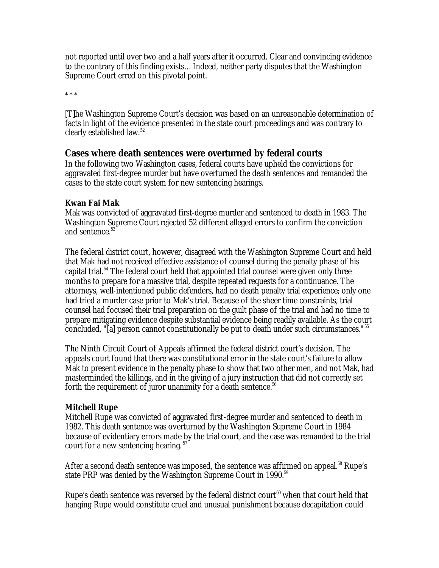not reported until over two and a half years after it occurred. Clear and convincing evidence to the contrary of this finding exists…Indeed, neither party disputes that the Washington Supreme Court erred on this pivotal point.

\* \* \*

[T]he Washington Supreme Court's decision was based on an unreasonable determination of facts in light of the evidence presented in the state court proceedings and was contrary to clearly established law.<sup>52</sup>

#### **Cases where death sentences were overturned by federal courts**

In the following two Washington cases, federal courts have upheld the convictions for aggravated first-degree murder but have overturned the death sentences and remanded the cases to the state court system for new sentencing hearings.

#### **Kwan Fai Mak**

Mak was convicted of aggravated first-degree murder and sentenced to death in 1983. The Washington Supreme Court rejected 52 different alleged errors to confirm the conviction and sentence.<sup>53</sup>

The federal district court, however, disagreed with the Washington Supreme Court and held that Mak had not received effective assistance of counsel during the penalty phase of his capital trial.<sup>54</sup> The federal court held that appointed trial counsel were given only three months to prepare for a massive trial, despite repeated requests for a continuance. The attorneys, well-intentioned public defenders, had no death penalty trial experience; only one had tried a murder case prior to Mak's trial. Because of the sheer time constraints, trial counsel had focused their trial preparation on the guilt phase of the trial and had no time to prepare mitigating evidence despite substantial evidence being readily available. As the court concluded, "[a] person cannot constitutionally be put to death under such circumstances."<sup>55</sup>

The Ninth Circuit Court of Appeals affirmed the federal district court's decision. The appeals court found that there was constitutional error in the state court's failure to allow Mak to present evidence in the penalty phase to show that two other men, and not Mak, had masterminded the killings, and in the giving of a jury instruction that did not correctly set forth the requirement of juror unanimity for a death sentence. $56$ 

#### **Mitchell Rupe**

Mitchell Rupe was convicted of aggravated first-degree murder and sentenced to death in 1982. This death sentence was overturned by the Washington Supreme Court in 1984 because of evidentiary errors made by the trial court, and the case was remanded to the trial court for a new sentencing hearing.<sup>57</sup>

After a second death sentence was imposed, the sentence was affirmed on appeal.<sup>58</sup> Rupe's state PRP was denied by the Washington Supreme Court in 1990.<sup>59</sup>

Rupe's death sentence was reversed by the federal district court<sup>60</sup> when that court held that hanging Rupe would constitute cruel and unusual punishment because decapitation could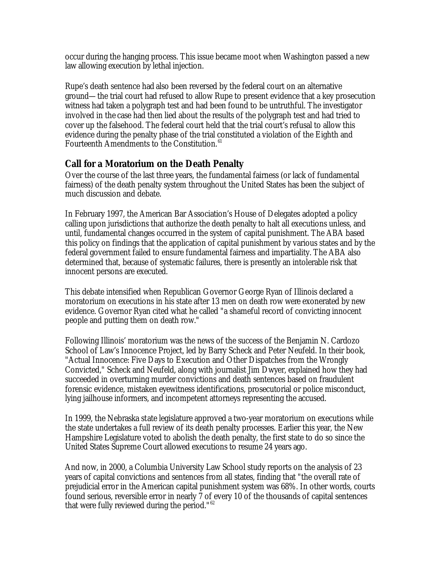occur during the hanging process. This issue became moot when Washington passed a new law allowing execution by lethal injection.

Rupe's death sentence had also been reversed by the federal court on an alternative ground—the trial court had refused to allow Rupe to present evidence that a key prosecution witness had taken a polygraph test and had been found to be untruthful. The investigator involved in the case had then lied about the results of the polygraph test and had tried to cover up the falsehood. The federal court held that the trial court's refusal to allow this evidence during the penalty phase of the trial constituted a violation of the Eighth and Fourteenth Amendments to the Constitution.<sup>61</sup>

# **Call for a Moratorium on the Death Penalty**

Over the course of the last three years, the fundamental fairness (or lack of fundamental fairness) of the death penalty system throughout the United States has been the subject of much discussion and debate.

In February 1997, the American Bar Association's House of Delegates adopted a policy calling upon jurisdictions that authorize the death penalty to halt all executions unless, and until, fundamental changes occurred in the system of capital punishment. The ABA based this policy on findings that the application of capital punishment by various states and by the federal government failed to ensure fundamental fairness and impartiality. The ABA also determined that, because of systematic failures, there is presently an intolerable risk that innocent persons are executed.

This debate intensified when Republican Governor George Ryan of Illinois declared a moratorium on executions in his state after 13 men on death row were exonerated by new evidence. Governor Ryan cited what he called "a shameful record of convicting innocent people and putting them on death row."

Following Illinois' moratorium was the news of the success of the Benjamin N. Cardozo School of Law's Innocence Project, led by Barry Scheck and Peter Neufeld. In their book, "Actual Innocence: Five Days to Execution and Other Dispatches from the Wrongly Convicted," Scheck and Neufeld, along with journalist Jim Dwyer, explained how they had succeeded in overturning murder convictions and death sentences based on fraudulent forensic evidence, mistaken eyewitness identifications, prosecutorial or police misconduct, lying jailhouse informers, and incompetent attorneys representing the accused.

In 1999, the Nebraska state legislature approved a two-year moratorium on executions while the state undertakes a full review of its death penalty processes. Earlier this year, the New Hampshire Legislature voted to abolish the death penalty, the first state to do so since the United States Supreme Court allowed executions to resume 24 years ago.

And now, in 2000, a Columbia University Law School study reports on the analysis of 23 years of capital convictions and sentences from all states, finding that "the overall rate of prejudicial error in the American capital punishment system was 68%. In other words, courts found serious, reversible error in nearly 7 of every 10 of the thousands of capital sentences that were fully reviewed during the period."<sup>62</sup>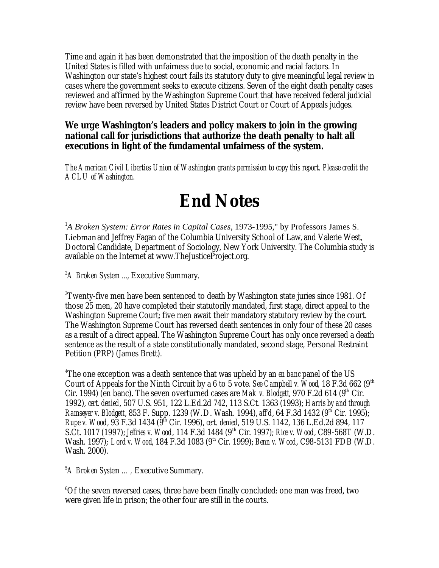Time and again it has been demonstrated that the imposition of the death penalty in the United States is filled with unfairness due to social, economic and racial factors. In Washington our state's highest court fails its statutory duty to give meaningful legal review in cases where the government seeks to execute citizens. Seven of the eight death penalty cases reviewed and affirmed by the Washington Supreme Court that have received federal judicial review have been reversed by United States District Court or Court of Appeals judges.

### *We urge Washington's leaders and policy makers to join in the growing national call for jurisdictions that authorize the death penalty to halt all executions in light of the fundamental unfairness of the system.*

*The American Civil Liberties Union of Washington grants permission to copy this report. Please credit the ACLU of Washington.*

# **End Notes**

<sup>1</sup>A Broken System: Error Rates in Capital Cases, 1973-1995," by Professors James S. Liebman and Jeffrey Fagan of the Columbia University School of Law, and Valerie West, Doctoral Candidate, Department of Sociology, New York University. The Columbia study is available on the Internet at www.TheJusticeProject.org.

<sup>2</sup>A Broken System ..., Executive Summary.

<sup>3</sup>Twenty-five men have been sentenced to death by Washington state juries since 1981. Of those 25 men, 20 have completed their statutorily mandated, first stage, direct appeal to the Washington Supreme Court; five men await their mandatory statutory review by the court. The Washington Supreme Court has reversed death sentences in only four of these 20 cases as a result of a direct appeal. The Washington Supreme Court has only once reversed a death sentence as the result of a state constitutionally mandated, second stage, Personal Restraint Petition (PRP) (James Brett).

<sup>4</sup>The one exception was a death sentence that was upheld by an *en banc* panel of the US Court of Appeals for the Ninth Circuit by a 6 to 5 vote. *See Campbell v. Wood*, 18 F.3d 662 (9<sup>th</sup>) Cir. 1994) (en banc). The seven overturned cases are *Mak v. Blodgett*, 970 F.2d 614 (9<sup>th</sup> Cir. 1992), *cert. denied*, 507 U.S. 951, 122 L.Ed.2d 742, 113 S.Ct. 1363 (1993); *Harris by and through Ramseyer v. Blodgett*, 853 F. Supp. 1239 (W. D. Wash. 1994), *aff'd*, 64 F.3d 1432 (9<sup>th</sup> Cir. 1995); *Rupe v. Wood*, 93 F.3d 1434 (9th Cir. 1996), *cert. denied*, 519 U.S. 1142, 136 L.Ed.2d 894, 117 S.Ct. 1017 (1997); *Jeffries v. Wood*, 114 F.3d 1484 (9th Cir. 1997); *Rice v. Wood*, C89-568T (W.D. Wash. 1997); *Lord v. Wood*, 184 F.3d 1083 (9<sup>th</sup> Cir. 1999); *Benn v. Wood*, C98-5131 FDB (W.D. Wash. 2000).

<sup>5</sup>*A Broken System …,* Executive Summary.

<sup>6</sup>Of the seven reversed cases, three have been finally concluded: one man was freed, two were given life in prison; the other four are still in the courts.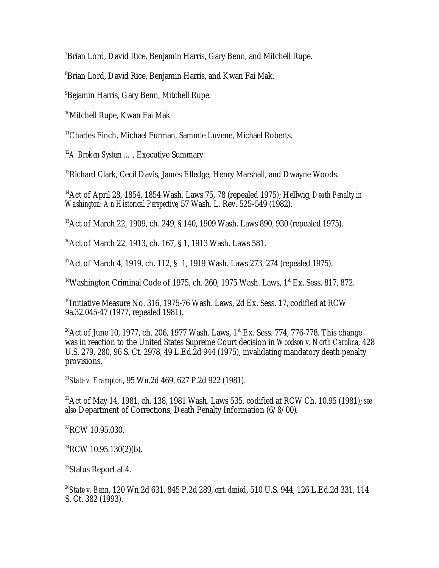<sup>7</sup>Brian Lord, David Rice, Benjamin Harris, Gary Benn, and Mitchell Rupe.

<sup>8</sup>Brian Lord, David Rice, Benjamin Harris, and Kwan Fai Mak.

<sup>9</sup>Bejamin Harris, Gary Benn, Mitchell Rupe.

<sup>10</sup>Mitchell Rupe, Kwan Fai Mak

<sup>11</sup>Charles Finch, Michael Furman, Sammie Luvene, Michael Roberts.

<sup>12</sup>A Broken System ..., Executive Summary.

<sup>13</sup>Richard Clark, Cecil Davis, James Elledge, Henry Marshall, and Dwayne Woods.

<sup>14</sup>Act of April 28, 1854, 1854 Wash. Laws 75, 78 (repealed 1975); Hellwig, *Death Penalty in Washington: An Historical Perspective*, 57 Wash. L. Rev. 525-549 (1982).

<sup>15</sup>Act of March 22, 1909, ch. 249, § 140, 1909 Wash. Laws 890, 930 (repealed 1975).

<sup>16</sup>Act of March 22, 1913, ch. 167, § 1, 1913 Wash. Laws 581.

<sup>17</sup> Act of March 4, 1919, ch. 112, § 1, 1919 Wash. Laws 273, 274 (repealed 1975).

<sup>18</sup>Washington Criminal Code of 1975, ch. 260, 1975 Wash. Laws,  $1<sup>st</sup>$  Ex. Sess. 817, 872.

 $19$ Initiative Measure No. 316, 1975-76 Wash. Laws, 2d Ex. Sess. 17, codified at RCW 9a.32.045-47 (1977, repealed 1981).

<sup>20</sup>Act of June 10, 1977, ch. 206, 1977 Wash. Laws,  $1^*$  Ex. Sess. 774, 776-778. This change was in reaction to the United States Supreme Court decision in *Woodson v. North Carolina*, 428 U.S. 279, 280, 96 S. Ct. 2978, 49 L.Ed.2d 944 (1975), invalidating mandatory death penalty provisions.

<sup>21</sup>*State v. Frampton*, 95 Wn.2d 469, 627 P.2d 922 (1981).

<sup>22</sup>Act of May 14, 1981, ch. 138, 1981 Wash. Laws 535, codified at RCW Ch. 10.95 (1981); *see also* Department of Corrections, Death Penalty Information (6/8/00).

<sup>23</sup>RCW 10.95.030.

 $^{24}$ RCW 10.95.130(2)(b).

<sup>25</sup>Status Report at 4.

<sup>26</sup>*State v. Benn*, 120 Wn.2d 631, 845 P.2d 289, *cert. denied*, 510 U.S. 944, 126 L.Ed.2d 331, 114 S. Ct. 382 (1993).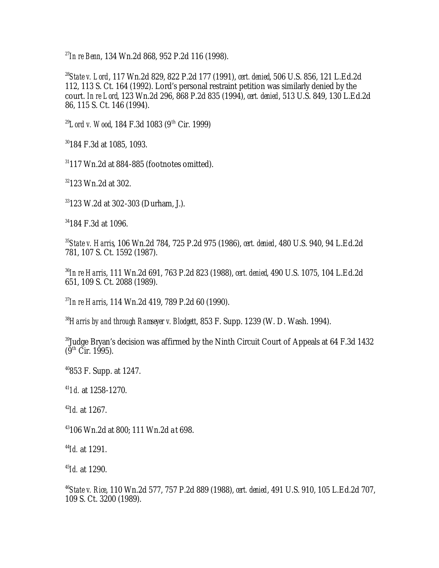<sup>27</sup>*In re Benn*, 134 Wn.2d 868, 952 P.2d 116 (1998).

<sup>28</sup>*State v. Lord*, 117 Wn.2d 829, 822 P.2d 177 (1991), *cert. denied*, 506 U.S. 856, 121 L.Ed.2d 112, 113 S. Ct. 164 (1992). Lord's personal restraint petition was similarly denied by the court. *In re Lord*, 123 Wn.2d 296, 868 P.2d 835 (1994), *cert. denied*, 513 U.S. 849, 130 L.Ed.2d 86, 115 S. Ct. 146 (1994).

<sup>29</sup>Lord v. Wood, 184 F.3d 1083 (9<sup>th</sup> Cir. 1999)

<sup>30</sup>184 F.3d at 1085, 1093.

 $31117$  Wn.2d at 884-885 (footnotes omitted).

<sup>32</sup>123 Wn.2d at 302.

<sup>33</sup>123 W.2d at 302-303 (Durham, J.).

<sup>34</sup>184 F.3d at 1096.

<sup>35</sup>*State v. Harris*, 106 Wn.2d 784, 725 P.2d 975 (1986), *cert. denied*, 480 U.S. 940, 94 L.Ed.2d 781, 107 S. Ct. 1592 (1987).

<sup>36</sup>*In re Harris*, 111 Wn.2d 691, 763 P.2d 823 (1988), *cert. denied*, 490 U.S. 1075, 104 L.Ed.2d 651, 109 S. Ct. 2088 (1989).

<sup>37</sup>*In re Harris*, 114 Wn.2d 419, 789 P.2d 60 (1990).

<sup>38</sup>*Harris by and through Ramseyer v. Blodgett*, 853 F. Supp. 1239 (W. D. Wash. 1994).

<sup>39</sup>Judge Bryan's decision was affirmed by the Ninth Circuit Court of Appeals at 64 F.3d 1432  $(9^{th}$  Cir. 1995).

<sup>40</sup>853 F. Supp. at 1247.

<sup>41</sup>*1d.* at 1258-1270.

<sup>42</sup>*Id.* at 1267.

<sup>43</sup>106 Wn.2d at 800; 111 Wn.2d a t 698.

<sup>44</sup>*Id.* at 1291.

<sup>45</sup>*Id.* at 1290.

<sup>46</sup>*State v. Rice*, 110 Wn.2d 577, 757 P.2d 889 (1988), *cert. denied*, 491 U.S. 910, 105 L.Ed.2d 707, 109 S. Ct. 3200 (1989).